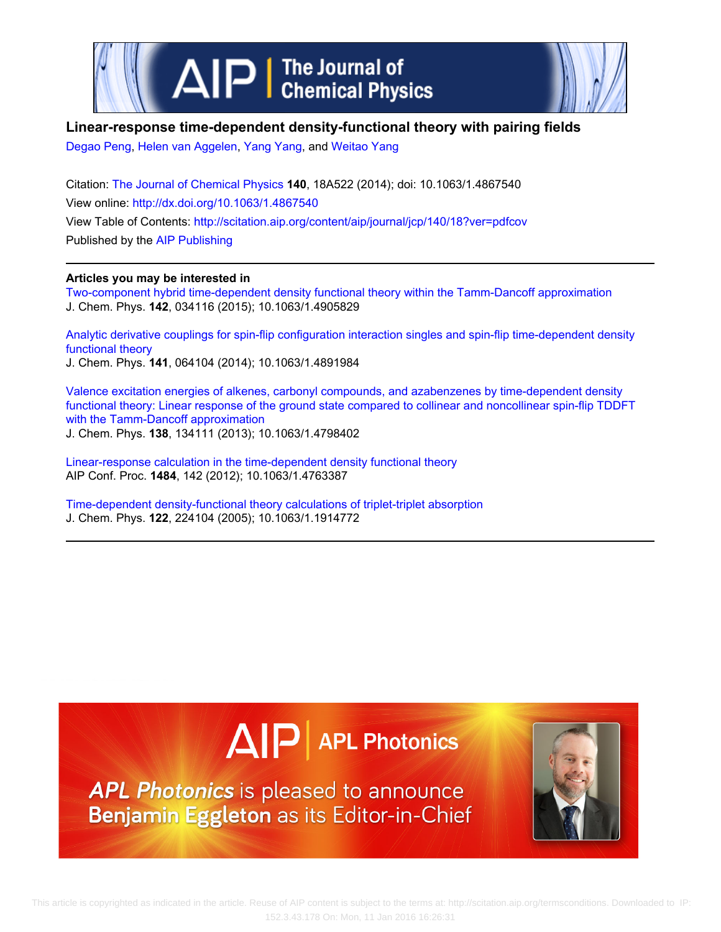

## **Linear-response time-dependent density-functional theory with pairing fields**

[Degao Peng,](http://scitation.aip.org/search?value1=Degao+Peng&option1=author) [Helen van Aggelen,](http://scitation.aip.org/search?value1=Helen+van+Aggelen&option1=author) [Yang Yang,](http://scitation.aip.org/search?value1=Yang+Yang&option1=author) and [Weitao Yang](http://scitation.aip.org/search?value1=Weitao+Yang&option1=author)

Citation: [The Journal of Chemical Physics](http://scitation.aip.org/content/aip/journal/jcp?ver=pdfcov) **140**, 18A522 (2014); doi: 10.1063/1.4867540 View online: <http://dx.doi.org/10.1063/1.4867540> View Table of Contents: <http://scitation.aip.org/content/aip/journal/jcp/140/18?ver=pdfcov> Published by the [AIP Publishing](http://scitation.aip.org/content/aip?ver=pdfcov)

### **Articles you may be interested in**

[Two-component hybrid time-dependent density functional theory within the Tamm-Dancoff approximation](http://scitation.aip.org/content/aip/journal/jcp/142/3/10.1063/1.4905829?ver=pdfcov) J. Chem. Phys. **142**, 034116 (2015); 10.1063/1.4905829

[Analytic derivative couplings for spin-flip configuration interaction singles and spin-flip time-dependent density](http://scitation.aip.org/content/aip/journal/jcp/141/6/10.1063/1.4891984?ver=pdfcov) [functional theory](http://scitation.aip.org/content/aip/journal/jcp/141/6/10.1063/1.4891984?ver=pdfcov)

J. Chem. Phys. **141**, 064104 (2014); 10.1063/1.4891984

[Valence excitation energies of alkenes, carbonyl compounds, and azabenzenes by time-dependent density](http://scitation.aip.org/content/aip/journal/jcp/138/13/10.1063/1.4798402?ver=pdfcov) [functional theory: Linear response of the ground state compared to collinear and noncollinear spin-flip TDDFT](http://scitation.aip.org/content/aip/journal/jcp/138/13/10.1063/1.4798402?ver=pdfcov) [with the Tamm-Dancoff approximation](http://scitation.aip.org/content/aip/journal/jcp/138/13/10.1063/1.4798402?ver=pdfcov) J. Chem. Phys. **138**, 134111 (2013); 10.1063/1.4798402

[Linear-response calculation in the time-dependent density functional theory](http://scitation.aip.org/content/aip/proceeding/aipcp/10.1063/1.4763387?ver=pdfcov) AIP Conf. Proc. **1484**, 142 (2012); 10.1063/1.4763387

[Time-dependent density-functional theory calculations of triplet-triplet absorption](http://scitation.aip.org/content/aip/journal/jcp/122/22/10.1063/1.1914772?ver=pdfcov) J. Chem. Phys. **122**, 224104 (2005); 10.1063/1.1914772

# $\Delta$  $\vert$ P | APL Photonics

APL Photonics is pleased to announce Benjamin Eggleton as its Editor-in-Chief

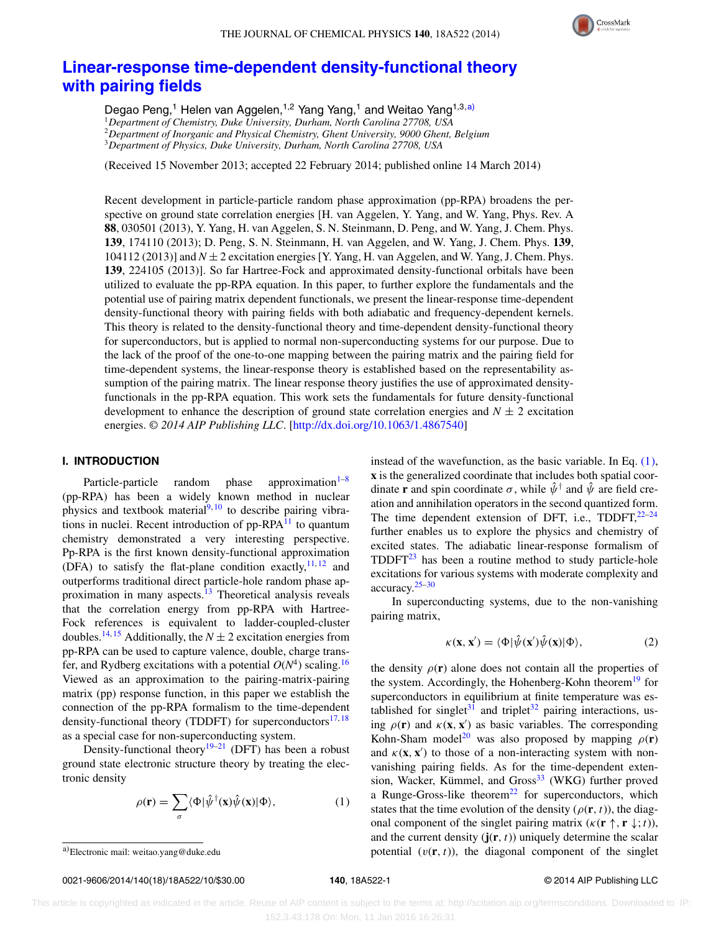

## **[Linear-response time-dependent density-functional theory](http://dx.doi.org/10.1063/1.4867540) [with pairing fields](http://dx.doi.org/10.1063/1.4867540)**

Degao Peng,<sup>1</sup> Helen van Aggelen,<sup>1,2</sup> Yang Yang,<sup>1</sup> and Weitao Yang<sup>1,3[,a\)](#page-1-0)</sup> *Department of Chemistry, Duke University, Durham, North Carolina 27708, USA Department of Inorganic and Physical Chemistry, Ghent University, 9000 Ghent, Belgium Department of Physics, Duke University, Durham, North Carolina 27708, USA*

(Received 15 November 2013; accepted 22 February 2014; published online 14 March 2014)

Recent development in particle-particle random phase approximation (pp-RPA) broadens the perspective on ground state correlation energies [H. van Aggelen, Y. Yang, and W. Yang, Phys. Rev. A **88**, 030501 (2013), Y. Yang, H. van Aggelen, S. N. Steinmann, D. Peng, and W. Yang, J. Chem. Phys. **139**, 174110 (2013); D. Peng, S. N. Steinmann, H. van Aggelen, and W. Yang, J. Chem. Phys. **139**,  $104112$  (2013)] and  $N \pm 2$  excitation energies [Y. Yang, H. van Aggelen, and W. Yang, J. Chem. Phys. **139**, 224105 (2013)]. So far Hartree-Fock and approximated density-functional orbitals have been utilized to evaluate the pp-RPA equation. In this paper, to further explore the fundamentals and the potential use of pairing matrix dependent functionals, we present the linear-response time-dependent density-functional theory with pairing fields with both adiabatic and frequency-dependent kernels. This theory is related to the density-functional theory and time-dependent density-functional theory for superconductors, but is applied to normal non-superconducting systems for our purpose. Due to the lack of the proof of the one-to-one mapping between the pairing matrix and the pairing field for time-dependent systems, the linear-response theory is established based on the representability assumption of the pairing matrix. The linear response theory justifies the use of approximated densityfunctionals in the pp-RPA equation. This work sets the fundamentals for future density-functional development to enhance the description of ground state correlation energies and  $N \pm 2$  excitation energies. *© 2014 AIP Publishing LLC*. [\[http://dx.doi.org/10.1063/1.4867540\]](http://dx.doi.org/10.1063/1.4867540)

#### **I. INTRODUCTION**

Particle-particle random phase approximation $1-8$  $1-8$ (pp-RPA) has been a widely known method in nuclear physics and textbook material $\frac{9,10}{9}$  $\frac{9,10}{9}$  $\frac{9,10}{9}$  $\frac{9,10}{9}$  to describe pairing vibra-tions in nuclei. Recent introduction of pp-RPA<sup>[11](#page-9-4)</sup> to quantum chemistry demonstrated a very interesting perspective. Pp-RPA is the first known density-functional approximation (DFA) to satisfy the flat-plane condition exactly,  $11, 12$  $11, 12$  $11, 12$  and outperforms traditional direct particle-hole random phase approximation in many aspects.<sup>13</sup> Theoretical analysis reveals that the correlation energy from pp-RPA with Hartree-Fock references is equivalent to ladder-coupled-cluster doubles.<sup>[14,](#page-9-7) [15](#page-9-8)</sup> Additionally, the  $N \pm 2$  excitation energies from pp-RPA can be used to capture valence, double, charge transfer, and Rydberg excitations with a potential  $O(N^4)$  scaling.<sup>16</sup> Viewed as an approximation to the pairing-matrix-pairing matrix (pp) response function, in this paper we establish the connection of the pp-RPA formalism to the time-dependent density-functional theory (TDDFT) for superconductors<sup>[17,](#page-9-10)[18](#page-9-11)</sup> as a special case for non-superconducting system.

Density-functional theory<sup>19–[21](#page-9-13)</sup> (DFT) has been a robust ground state electronic structure theory by treating the electronic density

<span id="page-1-1"></span>
$$
\rho(\mathbf{r}) = \sum_{\sigma} \langle \Phi | \hat{\psi}^{\dagger}(\mathbf{x}) \hat{\psi}(\mathbf{x}) | \Phi \rangle, \tag{1}
$$

0021-9606/2014/140(18)/18A522/10/\$30.00 © 2014 AIP Publishing LLC **140**, 18A522-1

instead of the wavefunction, as the basic variable. In Eq. [\(1\),](#page-1-1) **x** is the generalized coordinate that includes both spatial coordinate **r** and spin coordinate  $\sigma$ , while  $\hat{\psi}^{\dagger}$  and  $\hat{\psi}$  are field creation and annihilation operators in the second quantized form. The time dependent extension of DFT, i.e., TDDFT, $^{22-24}$  $^{22-24}$  $^{22-24}$ further enables us to explore the physics and chemistry of excited states. The adiabatic linear-response formalism of  $TDDFT^{23}$  has been a routine method to study particle-hole excitations for various systems with moderate complexity and  $\arccuracy.<sup>25-30</sup>$  $\arccuracy.<sup>25-30</sup>$  $\arccuracy.<sup>25-30</sup>$ 

In superconducting systems, due to the non-vanishing pairing matrix,

<span id="page-1-2"></span>
$$
\kappa(\mathbf{x}, \mathbf{x}') = \langle \Phi | \hat{\psi}(\mathbf{x}') \hat{\psi}(\mathbf{x}) | \Phi \rangle, \tag{2}
$$

the density  $\rho(\mathbf{r})$  alone does not contain all the properties of the system. Accordingly, the Hohenberg-Kohn theorem<sup>19</sup> for superconductors in equilibrium at finite temperature was es-tablished for singlet<sup>[31](#page-9-19)</sup> and triplet<sup>[32](#page-9-20)</sup> pairing interactions, using  $\rho(\mathbf{r})$  and  $\kappa(\mathbf{x}, \mathbf{x}')$  as basic variables. The corresponding Kohn-Sham model<sup>20</sup> was also proposed by mapping  $\rho(\mathbf{r})$ and  $\kappa(\mathbf{x}, \mathbf{x}')$  to those of a non-interacting system with nonvanishing pairing fields. As for the time-dependent exten-sion, Wacker, Kümmel, and Gross<sup>[33](#page-9-22)</sup> (WKG) further proved a Runge-Gross-like theorem<sup>[22](#page-9-14)</sup> for superconductors, which states that the time evolution of the density  $(\rho(\mathbf{r},t))$ , the diagonal component of the singlet pairing matrix  $(\kappa(\mathbf{r}^{\dagger}, \mathbf{r}^{\dagger}, t))$ , and the current density  $(j(r, t))$  uniquely determine the scalar potential  $(v(\mathbf{r}, t))$ , the diagonal component of the singlet

<span id="page-1-0"></span>a)Electronic mail: [weitao.yang@duke.edu](mailto: weitao.yang@duke.edu)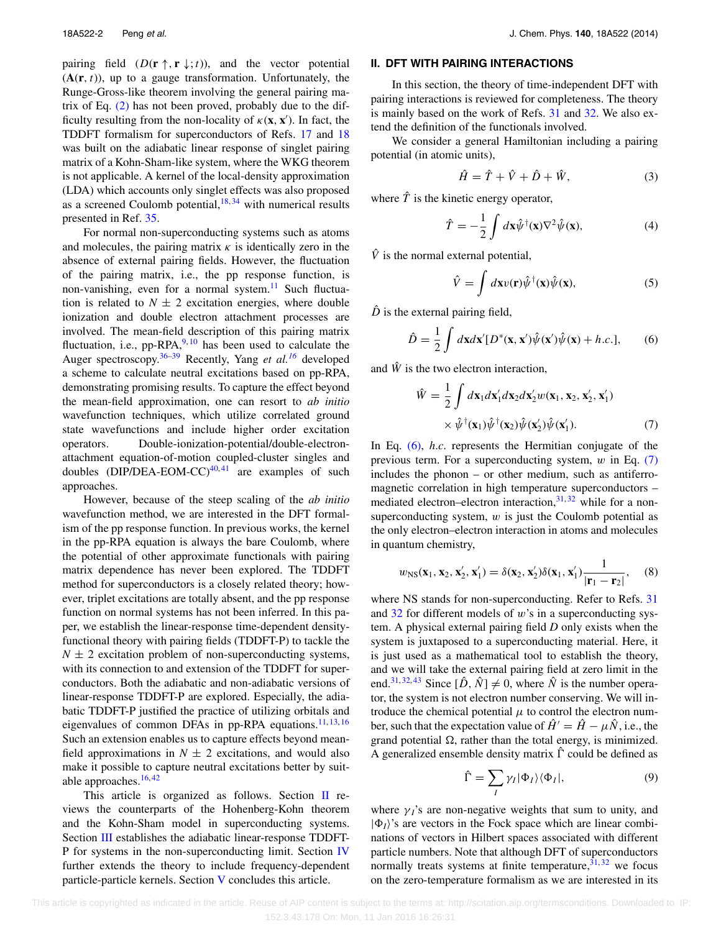pairing field  $(D(\mathbf{r} \uparrow, \mathbf{r} \downarrow; t))$ , and the vector potential  $(A(r, t))$ , up to a gauge transformation. Unfortunately, the Runge-Gross-like theorem involving the general pairing matrix of Eq. [\(2\)](#page-1-2) has not been proved, probably due to the difficulty resulting from the non-locality of  $\kappa(\mathbf{x}, \mathbf{x}')$ . In fact, the TDDFT formalism for superconductors of Refs. [17](#page-9-10) and [18](#page-9-11) was built on the adiabatic linear response of singlet pairing matrix of a Kohn-Sham-like system, where the WKG theorem is not applicable. A kernel of the local-density approximation (LDA) which accounts only singlet effects was also proposed as a screened Coulomb potential,  $18, 34$  $18, 34$  with numerical results presented in Ref. [35.](#page-9-24)

For normal non-superconducting systems such as atoms and molecules, the pairing matrix  $\kappa$  is identically zero in the absence of external pairing fields. However, the fluctuation of the pairing matrix, i.e., the pp response function, is non-vanishing, even for a normal system.<sup>[11](#page-9-4)</sup> Such fluctuation is related to  $N \pm 2$  excitation energies, where double ionization and double electron attachment processes are involved. The mean-field description of this pairing matrix fluctuation, i.e., pp-RPA, $9,10$  $9,10$  has been used to calculate the Auger spectroscopy.[36–](#page-9-25)[39](#page-9-26) Recently, Yang *et al.[16](#page-9-9)* developed a scheme to calculate neutral excitations based on pp-RPA, demonstrating promising results. To capture the effect beyond the mean-field approximation, one can resort to *ab initio* wavefunction techniques, which utilize correlated ground state wavefunctions and include higher order excitation operators. Double-ionization-potential/double-electronattachment equation-of-motion coupled-cluster singles and doubles (DIP/DEA-EOM-CC) $40,41$  $40,41$  are examples of such approaches.

However, because of the steep scaling of the *ab initio* wavefunction method, we are interested in the DFT formalism of the pp response function. In previous works, the kernel in the pp-RPA equation is always the bare Coulomb, where the potential of other approximate functionals with pairing matrix dependence has never been explored. The TDDFT method for superconductors is a closely related theory; however, triplet excitations are totally absent, and the pp response function on normal systems has not been inferred. In this paper, we establish the linear-response time-dependent densityfunctional theory with pairing fields (TDDFT-P) to tackle the  $N \pm 2$  excitation problem of non-superconducting systems, with its connection to and extension of the TDDFT for superconductors. Both the adiabatic and non-adiabatic versions of linear-response TDDFT-P are explored. Especially, the adiabatic TDDFT-P justified the practice of utilizing orbitals and eigenvalues of common DFAs in pp-RPA equations.<sup>[11,](#page-9-4) [13,](#page-9-6) [16](#page-9-9)</sup> Such an extension enables us to capture effects beyond meanfield approximations in  $N \pm 2$  excitations, and would also make it possible to capture neutral excitations better by suitable approaches. $16, 42$  $16, 42$ 

This article is organized as follows. Section  $\mathbf I$  reviews the counterparts of the Hohenberg-Kohn theorem and the Kohn-Sham model in superconducting systems. Section [III](#page-4-0) establishes the adiabatic linear-response TDDFT-P for systems in the non-superconducting limit. Section [IV](#page-6-0) further extends the theory to include frequency-dependent particle-particle kernels. Section [V](#page-7-0) concludes this article.

#### <span id="page-2-0"></span>**II. DFT WITH PAIRING INTERACTIONS**

In this section, the theory of time-independent DFT with pairing interactions is reviewed for completeness. The theory is mainly based on the work of Refs. [31](#page-9-19) and [32.](#page-9-20) We also extend the definition of the functionals involved.

We consider a general Hamiltonian including a pairing potential (in atomic units),

$$
\hat{H} = \hat{T} + \hat{V} + \hat{D} + \hat{W},\tag{3}
$$

where  $\hat{T}$  is the kinetic energy operator,

$$
\hat{T} = -\frac{1}{2} \int d\mathbf{x} \hat{\psi}^{\dagger}(\mathbf{x}) \nabla^2 \hat{\psi}(\mathbf{x}), \tag{4}
$$

 $\hat{V}$  is the normal external potential,

<span id="page-2-1"></span>
$$
\hat{V} = \int d\mathbf{x} v(\mathbf{r}) \hat{\psi}^{\dagger}(\mathbf{x}) \hat{\psi}(\mathbf{x}), \tag{5}
$$

 $\hat{D}$  is the external pairing field,

$$
\hat{D} = \frac{1}{2} \int d\mathbf{x} d\mathbf{x}' [D^*(\mathbf{x}, \mathbf{x}') \hat{\psi}(\mathbf{x}') \hat{\psi}(\mathbf{x}) + h.c.], \qquad (6)
$$

and  $\hat{W}$  is the two electron interaction,

<span id="page-2-2"></span>
$$
\hat{W} = \frac{1}{2} \int d\mathbf{x}_1 d\mathbf{x}'_1 d\mathbf{x}_2 d\mathbf{x}'_2 w(\mathbf{x}_1, \mathbf{x}_2, \mathbf{x}'_2, \mathbf{x}'_1) \times \hat{\psi}^{\dagger}(\mathbf{x}_1) \hat{\psi}^{\dagger}(\mathbf{x}_2) \hat{\psi}(\mathbf{x}'_2) \hat{\psi}(\mathbf{x}'_1).
$$
\n(7)

In Eq. [\(6\),](#page-2-1) *h*.*c*. represents the Hermitian conjugate of the previous term. For a superconducting system, *w* in Eq. [\(7\)](#page-2-2) includes the phonon – or other medium, such as antiferromagnetic correlation in high temperature superconductors – mediated electron–electron interaction, $31,32$  $31,32$  while for a nonsuperconducting system, *w* is just the Coulomb potential as the only electron–electron interaction in atoms and molecules in quantum chemistry,

$$
w_{\rm NS}(\mathbf{x}_1, \mathbf{x}_2, \mathbf{x}_2', \mathbf{x}_1') = \delta(\mathbf{x}_2, \mathbf{x}_2')\delta(\mathbf{x}_1, \mathbf{x}_1') \frac{1}{|\mathbf{r}_1 - \mathbf{r}_2|},\quad (8)
$$

where NS stands for non-superconducting. Refer to Refs. [31](#page-9-19) and [32](#page-9-20) for different models of *w*'s in a superconducting system. A physical external pairing field *D* only exists when the system is juxtaposed to a superconducting material. Here, it is just used as a mathematical tool to establish the theory, and we will take the external pairing field at zero limit in the end.<sup>[31,](#page-9-19) [32,](#page-9-20) [43](#page-10-2)</sup> Since  $[\hat{D}, \hat{N}] \neq 0$ , where  $\hat{N}$  is the number operator, the system is not electron number conserving. We will introduce the chemical potential  $\mu$  to control the electron number, such that the expectation value of  $\hat{H}^{\prime} = \hat{H} - \mu \hat{N}$ , i.e., the grand potential  $\Omega$ , rather than the total energy, is minimized. A generalized ensemble density matrix  $\hat{\Gamma}$  could be defined as

<span id="page-2-3"></span>
$$
\hat{\Gamma} = \sum_{I} \gamma_I |\Phi_I\rangle \langle \Phi_I|,\tag{9}
$$

where  $\gamma$ <sup>'</sup>s are non-negative weights that sum to unity, and  $|\Phi_I\rangle$ 's are vectors in the Fock space which are linear combinations of vectors in Hilbert spaces associated with different particle numbers. Note that although DFT of superconductors normally treats systems at finite temperature,  $31,32$  $31,32$  we focus on the zero-temperature formalism as we are interested in its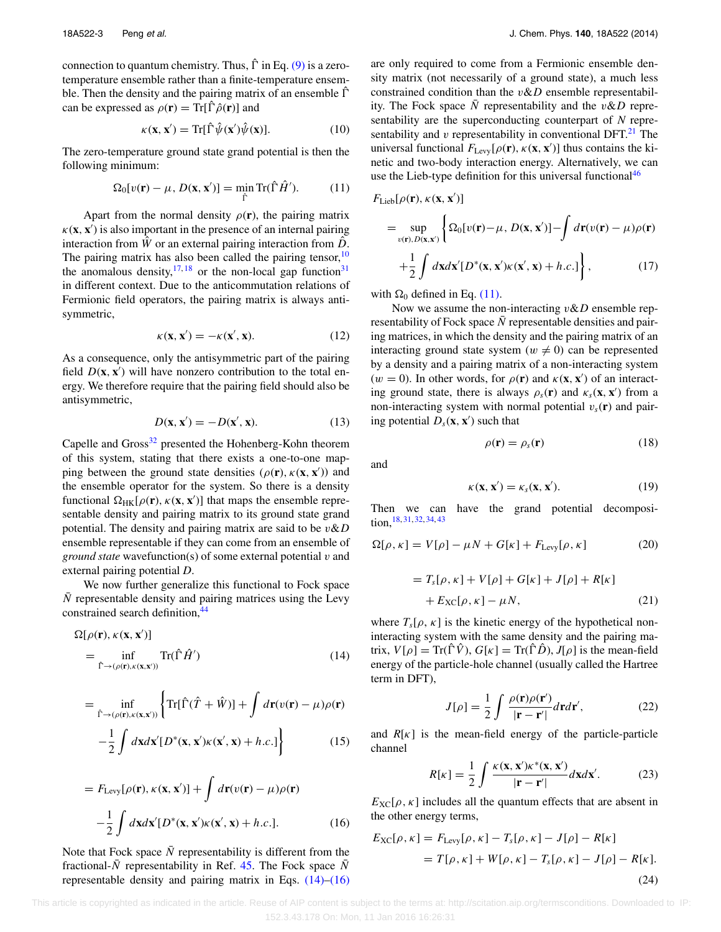connection to quantum chemistry. Thus,  $\hat{\Gamma}$  in Eq. [\(9\)](#page-2-3) is a zerotemperature ensemble rather than a finite-temperature ensemble. Then the density and the pairing matrix of an ensemble  $\hat{\Gamma}$ can be expressed as  $\rho(\mathbf{r}) = Tr[\hat{\Gamma} \hat{\rho}(\mathbf{r})]$  and

<span id="page-3-2"></span>
$$
\kappa(\mathbf{x}, \mathbf{x}') = \text{Tr}[\hat{\Gamma}\hat{\psi}(\mathbf{x}')\hat{\psi}(\mathbf{x})]. \tag{10}
$$

The zero-temperature ground state grand potential is then the following minimum:

$$
\Omega_0[\nu(\mathbf{r}) - \mu, D(\mathbf{x}, \mathbf{x}')] = \min_{\hat{\Gamma}} \text{Tr}(\hat{\Gamma}\hat{H}'). \tag{11}
$$

Apart from the normal density  $\rho(\mathbf{r})$ , the pairing matrix  $\kappa(\mathbf{x}, \mathbf{x}')$  is also important in the presence of an internal pairing interaction from  $\hat{W}$  or an external pairing interaction from  $\hat{D}$ . The pairing matrix has also been called the pairing tensor,  $10$ the anomalous density,  $17, 18$  $17, 18$  $17, 18$  or the non-local gap function<sup>31</sup> in different context. Due to the anticommutation relations of Fermionic field operators, the pairing matrix is always antisymmetric,

$$
\kappa(\mathbf{x}, \mathbf{x}') = -\kappa(\mathbf{x}', \mathbf{x}).\tag{12}
$$

As a consequence, only the antisymmetric part of the pairing field  $D(\mathbf{x}, \mathbf{x}')$  will have nonzero contribution to the total energy. We therefore require that the pairing field should also be antisymmetric,

$$
D(\mathbf{x}, \mathbf{x}') = -D(\mathbf{x}', \mathbf{x}).\tag{13}
$$

Capelle and Gross<sup>32</sup> presented the Hohenberg-Kohn theorem of this system, stating that there exists a one-to-one mapping between the ground state densities  $(\rho(\mathbf{r}), \kappa(\mathbf{x}, \mathbf{x}'))$  and the ensemble operator for the system. So there is a density functional  $\Omega_{HK}[\rho(\mathbf{r}), \kappa(\mathbf{x}, \mathbf{x}')]$  that maps the ensemble representable density and pairing matrix to its ground state grand potential. The density and pairing matrix are said to be *v*&*D* ensemble representable if they can come from an ensemble of *ground state* wavefunction(s) of some external potential *v* and external pairing potential *D*.

We now further generalize this functional to Fock space *N* representable density and pairing matrices using the Levy constrained search definition,<sup>[44](#page-10-3)</sup>

<span id="page-3-0"></span>
$$
\Omega[\rho(\mathbf{r}), \kappa(\mathbf{x}, \mathbf{x}')] \n= \inf_{\hat{\Gamma} \to (\rho(\mathbf{r}), \kappa(\mathbf{x}, \mathbf{x}'))} \text{Tr}(\hat{\Gamma} \hat{H}') \n\tag{14}
$$

$$
= \inf_{\hat{\Gamma}\to(\rho(\mathbf{r}),\kappa(\mathbf{x},\mathbf{x}'))}\left\{\text{Tr}[\hat{\Gamma}(\hat{T}+\hat{W})] + \int d\mathbf{r}(v(\mathbf{r})-\mu)\rho(\mathbf{r}) -\frac{1}{2}\int d\mathbf{x}d\mathbf{x}'[D^*(\mathbf{x},\mathbf{x}')\kappa(\mathbf{x}',\mathbf{x})+h.c.\right\}
$$
(15)

<span id="page-3-1"></span>
$$
= F_{\text{Levy}}[\rho(\mathbf{r}), \kappa(\mathbf{x}, \mathbf{x}')] + \int d\mathbf{r}(v(\mathbf{r}) - \mu)\rho(\mathbf{r})
$$

$$
- \frac{1}{2} \int d\mathbf{x} d\mathbf{x}' [D^*(\mathbf{x}, \mathbf{x}')\kappa(\mathbf{x}', \mathbf{x}) + h.c.]. \tag{16}
$$

Note that Fock space  $\overline{N}$  representability is different from the fractional- $\bar{N}$  representability in Ref. [45.](#page-10-4) The Fock space  $\bar{N}$ representable density and pairing matrix in Eqs. [\(14\)](#page-3-0)[–\(16\)](#page-3-1) are only required to come from a Fermionic ensemble density matrix (not necessarily of a ground state), a much less constrained condition than the *v*&*D* ensemble representability. The Fock space  $\overline{N}$  representability and the *v&D* representability are the superconducting counterpart of *N* representability and  $\nu$  representability in conventional DFT. $^{21}$  The universal functional  $F_{\text{Levy}}[\rho(\mathbf{r}), \kappa(\mathbf{x}, \mathbf{x}')]$  thus contains the kinetic and two-body interaction energy. Alternatively, we can use the Lieb-type definition for this universal functional  $46$ 

$$
F_{\text{Lieb}}[\rho(\mathbf{r}), \kappa(\mathbf{x}, \mathbf{x}')] = \sup_{v(\mathbf{r}), D(\mathbf{x}, \mathbf{x}')} \left\{ \Omega_0[v(\mathbf{r}) - \mu, D(\mathbf{x}, \mathbf{x}')] - \int d\mathbf{r}(v(\mathbf{r}) - \mu) \rho(\mathbf{r}) + \frac{1}{2} \int d\mathbf{x} d\mathbf{x}' [D^*(\mathbf{x}, \mathbf{x}') \kappa(\mathbf{x}', \mathbf{x}) + h.c.] \right\},
$$
(17)

with  $\Omega_0$  defined in Eq. [\(11\).](#page-3-2)

Now we assume the non-interacting *v*&*D* ensemble representability of Fock space  $\overline{N}$  representable densities and pairing matrices, in which the density and the pairing matrix of an interacting ground state system ( $w \neq 0$ ) can be represented by a density and a pairing matrix of a non-interacting system  $(w = 0)$ . In other words, for  $\rho(\mathbf{r})$  and  $\kappa(\mathbf{x}, \mathbf{x}')$  of an interacting ground state, there is always  $\rho_s(\mathbf{r})$  and  $\kappa_s(\mathbf{x}, \mathbf{x}')$  from a non-interacting system with normal potential  $v_s(\mathbf{r})$  and pairing potential  $D_s$ (**x***,* **x**<sup> $\prime$ </sup>) such that

$$
\rho(\mathbf{r}) = \rho_s(\mathbf{r}) \tag{18}
$$

and

$$
\kappa(\mathbf{x}, \mathbf{x}') = \kappa_s(\mathbf{x}, \mathbf{x}'). \tag{19}
$$

Then we can have the grand potential decomposition,[18,](#page-9-11) [31,](#page-9-19) [32,](#page-9-20) [34,](#page-9-23) [43](#page-10-2)

$$
\Omega[\rho, \kappa] = V[\rho] - \mu N + G[\kappa] + F_{\text{Levy}}[\rho, \kappa]
$$
 (20)

$$
= T_s[\rho, \kappa] + V[\rho] + G[\kappa] + J[\rho] + R[\kappa] + E_{\rm XC}[\rho, \kappa] - \mu N,
$$
 (21)

where  $T_s[\rho, \kappa]$  is the kinetic energy of the hypothetical noninteracting system with the same density and the pairing matrix,  $V[\rho] = \text{Tr}(\hat{\Gamma}\hat{V})$ ,  $G[\kappa] = \text{Tr}(\hat{\Gamma}\hat{D})$ ,  $J[\rho]$  is the mean-field energy of the particle-hole channel (usually called the Hartree term in DFT),

$$
J[\rho] = \frac{1}{2} \int \frac{\rho(\mathbf{r})\rho(\mathbf{r}')}{|\mathbf{r} - \mathbf{r}'|} d\mathbf{r} d\mathbf{r}',\tag{22}
$$

and  $R[\kappa]$  is the mean-field energy of the particle-particle channel

$$
R[\kappa] = \frac{1}{2} \int \frac{\kappa(\mathbf{x}, \mathbf{x}') \kappa^*(\mathbf{x}, \mathbf{x}')}{|\mathbf{r} - \mathbf{r}'|} d\mathbf{x} d\mathbf{x}'. \tag{23}
$$

 $E_{\text{XC}}[\rho, \kappa]$  includes all the quantum effects that are absent in the other energy terms,

$$
E_{\text{XC}}[\rho, \kappa] = F_{\text{Levy}}[\rho, \kappa] - T_s[\rho, \kappa] - J[\rho] - R[\kappa]
$$

$$
= T[\rho, \kappa] + W[\rho, \kappa] - T_s[\rho, \kappa] - J[\rho] - R[\kappa].
$$
(24)

 This article is copyrighted as indicated in the article. Reuse of AIP content is subject to the terms at: http://scitation.aip.org/termsconditions. Downloaded to IP: 152.3.43.178 On: Mon, 11 Jan 2016 16:26:31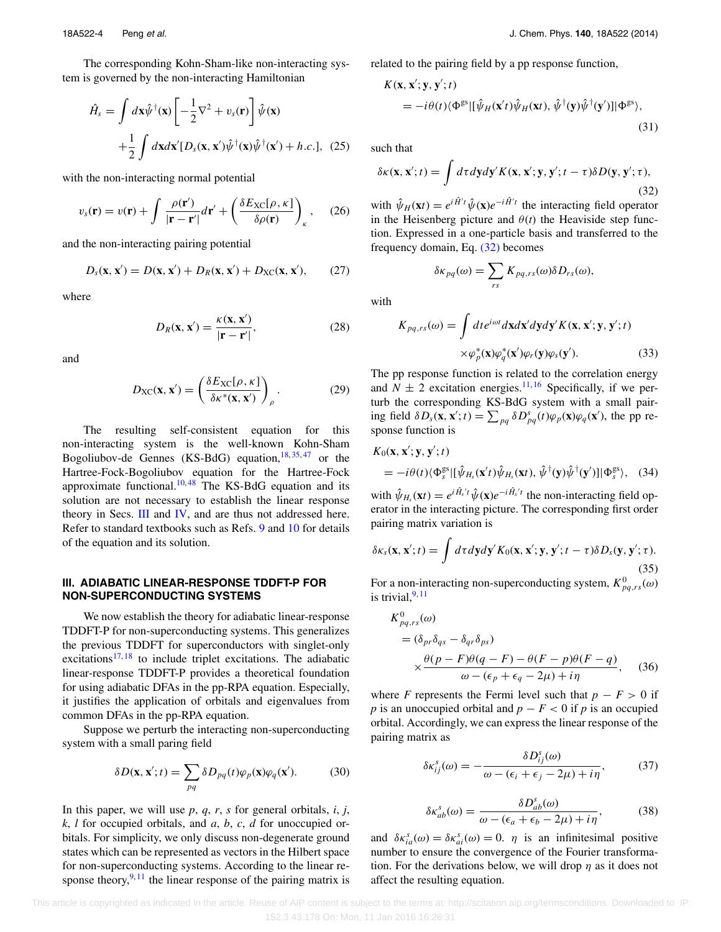The corresponding Kohn-Sham-like non-interacting system is governed by the non-interacting Hamiltonian

$$
\hat{H}_s = \int d\mathbf{x} \hat{\psi}^\dagger(\mathbf{x}) \left[ -\frac{1}{2} \nabla^2 + v_s(\mathbf{r}) \right] \hat{\psi}(\mathbf{x}) \n+ \frac{1}{2} \int d\mathbf{x} d\mathbf{x}' [D_s(\mathbf{x}, \mathbf{x}') \hat{\psi}^\dagger(\mathbf{x}) \hat{\psi}^\dagger(\mathbf{x}') + h.c.], \tag{25}
$$

with the non-interacting normal potential

$$
v_s(\mathbf{r}) = v(\mathbf{r}) + \int \frac{\rho(\mathbf{r}')}{|\mathbf{r} - \mathbf{r}'|} d\mathbf{r}' + \left(\frac{\delta E_{\text{XC}}[\rho, \kappa]}{\delta \rho(\mathbf{r})}\right)_{\kappa}, \quad (26)
$$

and the non-interacting pairing potential

$$
D_s(\mathbf{x}, \mathbf{x}') = D(\mathbf{x}, \mathbf{x}') + D_R(\mathbf{x}, \mathbf{x}') + D_{\text{XC}}(\mathbf{x}, \mathbf{x}'), \qquad (27)
$$

where

$$
D_R(\mathbf{x}, \mathbf{x}') = \frac{\kappa(\mathbf{x}, \mathbf{x}')}{|\mathbf{r} - \mathbf{r}'|},
$$
 (28)

and

$$
D_{\rm XC}(\mathbf{x}, \mathbf{x}') = \left(\frac{\delta E_{\rm XC}[\rho, \kappa]}{\delta \kappa^*(\mathbf{x}, \mathbf{x}')} \right)_{\rho}.
$$
 (29)

The resulting self-consistent equation for this non-interacting system is the well-known Kohn-Sham Bogoliubov-de Gennes (KS-BdG) equation,  $18, 35, 47$  $18, 35, 47$  $18, 35, 47$  $18, 35, 47$  or the Hartree-Fock-Bogoliubov equation for the Hartree-Fock approximate functional.<sup>[10,](#page-9-3)[48](#page-10-7)</sup> The KS-BdG equation and its solution are not necessary to establish the linear response theory in Secs. [III](#page-4-0) and [IV,](#page-6-0) and are thus not addressed here. Refer to standard textbooks such as Refs. [9](#page-9-2) and [10](#page-9-3) for details of the equation and its solution.

#### <span id="page-4-0"></span>**III. ADIABATIC LINEAR-RESPONSE TDDFT-P FOR NON-SUPERCONDUCTING SYSTEMS**

We now establish the theory for adiabatic linear-response TDDFT-P for non-superconducting systems. This generalizes the previous TDDFT for superconductors with singlet-only excitations<sup>[17,](#page-9-10) [18](#page-9-11)</sup> to include triplet excitations. The adiabatic linear-response TDDFT-P provides a theoretical foundation for using adiabatic DFAs in the pp-RPA equation. Especially, it justifies the application of orbitals and eigenvalues from common DFAs in the pp-RPA equation.

Suppose we perturb the interacting non-superconducting system with a small paring field

<span id="page-4-2"></span>
$$
\delta D(\mathbf{x}, \mathbf{x}'; t) = \sum_{pq} \delta D_{pq}(t) \varphi_p(\mathbf{x}) \varphi_q(\mathbf{x}'). \tag{30}
$$

In this paper, we will use *p*, *q*, *r*, *s* for general orbitals, *i*, *j*, *k*, *l* for occupied orbitals, and *a*, *b*, *c*, *d* for unoccupied orbitals. For simplicity, we only discuss non-degenerate ground states which can be represented as vectors in the Hilbert space for non-superconducting systems. According to the linear response theory,  $9,11$  $9,11$  the linear response of the pairing matrix is related to the pairing field by a pp response function,

$$
K(\mathbf{x}, \mathbf{x}'; \mathbf{y}, \mathbf{y}'; t) = -i\theta(t)\langle \Phi^{\text{gs}} | [\hat{\psi}_H(\mathbf{x}'; t)\hat{\psi}_H(\mathbf{x}t), \hat{\psi}^\dagger(\mathbf{y})\hat{\psi}^\dagger(\mathbf{y}')]|\Phi^{\text{gs}} \rangle, \tag{31}
$$

such that

<span id="page-4-1"></span>
$$
\delta \kappa(\mathbf{x}, \mathbf{x}'; t) = \int d\tau dy dy' K(\mathbf{x}, \mathbf{x}'; \mathbf{y}, \mathbf{y}'; t - \tau) \delta D(\mathbf{y}, \mathbf{y}'; \tau),
$$
\n(32)

with  $\hat{\psi}_H(\mathbf{x}) = e^{i\hat{H}'t} \hat{\psi}(\mathbf{x}) e^{-i\hat{H}'t}$  the interacting field operator in the Heisenberg picture and  $\theta(t)$  the Heaviside step function. Expressed in a one-particle basis and transferred to the frequency domain, Eq. [\(32\)](#page-4-1) becomes

$$
\delta \kappa_{pq}(\omega) = \sum_{rs} K_{pq,rs}(\omega) \delta D_{rs}(\omega),
$$

with

$$
K_{pq,rs}(\omega) = \int dt e^{i\omega t} d\mathbf{x} d\mathbf{x}' d\mathbf{y} d\mathbf{y}' K(\mathbf{x}, \mathbf{x}'; \mathbf{y}, \mathbf{y}'; t)
$$

$$
\times \varphi_p^*(\mathbf{x}) \varphi_q^*(\mathbf{x}') \varphi_r(\mathbf{y}) \varphi_s(\mathbf{y}').
$$
(33)

The pp response function is related to the correlation energy and  $N \pm 2$  excitation energies.<sup>[11,](#page-9-4) [16](#page-9-9)</sup> Specifically, if we perturb the corresponding KS-BdG system with a small pairing field  $\delta D_s(\mathbf{x}, \mathbf{x}'; t) = \sum_{pq} \delta D^s_{pq}(t) \varphi_p(\mathbf{x}) \varphi_q(\mathbf{x}')$ , the pp response function is

$$
K_0(\mathbf{x}, \mathbf{x}'; \mathbf{y}, \mathbf{y}'; t)
$$
  
=  $-i\theta(t)\langle \Phi_s^{gs}|[\hat{\psi}_{H_s}(\mathbf{x}'t)\hat{\psi}_{H_s}(\mathbf{x}t), \hat{\psi}^\dagger(\mathbf{y})\hat{\psi}^\dagger(\mathbf{y}')]|\Phi_s^{gs}\rangle$ , (34)

with  $\hat{\psi}_{H_s}(\mathbf{x}) = e^{i \hat{H}_s' t} \hat{\psi}(\mathbf{x}) e^{-i \hat{H}_s' t}$  the non-interacting field operator in the interacting picture. The corresponding first order pairing matrix variation is

$$
\delta \kappa_s(\mathbf{x}, \mathbf{x}'; t) = \int d\tau d\mathbf{y} d\mathbf{y}' K_0(\mathbf{x}, \mathbf{x}'; \mathbf{y}, \mathbf{y}'; t - \tau) \delta D_s(\mathbf{y}, \mathbf{y}'; \tau).
$$
\n(35)

For a non-interacting non-superconducting system,  $K_{pq,rs}^{0}(\omega)$ is trivial. $9,11$  $9,11$ 

<span id="page-4-5"></span>
$$
K_{pq,rs}^{0}(\omega)
$$
  
=  $(\delta_{pr}\delta_{qs} - \delta_{qr}\delta_{ps})$   

$$
\times \frac{\theta(p-F)\theta(q-F) - \theta(F-p)\theta(F-q)}{\omega - (\epsilon_p + \epsilon_q - 2\mu) + i\eta}, \quad (36)
$$

where *F* represents the Fermi level such that  $p - F > 0$  if *p* is an unoccupied orbital and  $p - F < 0$  if *p* is an occupied orbital. Accordingly, we can express the linear response of the pairing matrix as

<span id="page-4-3"></span>
$$
\delta \kappa_{ij}^s(\omega) = -\frac{\delta D_{ij}^s(\omega)}{\omega - (\epsilon_i + \epsilon_j - 2\mu) + i\eta},\tag{37}
$$

$$
\delta \kappa_{ab}^s(\omega) = \frac{\delta D_{ab}^s(\omega)}{\omega - (\epsilon_a + \epsilon_b - 2\mu) + i\eta},\tag{38}
$$

<span id="page-4-4"></span>and  $\delta \kappa_{ia}^s(\omega) = \delta \kappa_{ai}^s(\omega) = 0$ . *η* is an infinitesimal positive number to ensure the convergence of the Fourier transformation. For the derivations below, we will drop *η* as it does not affect the resulting equation.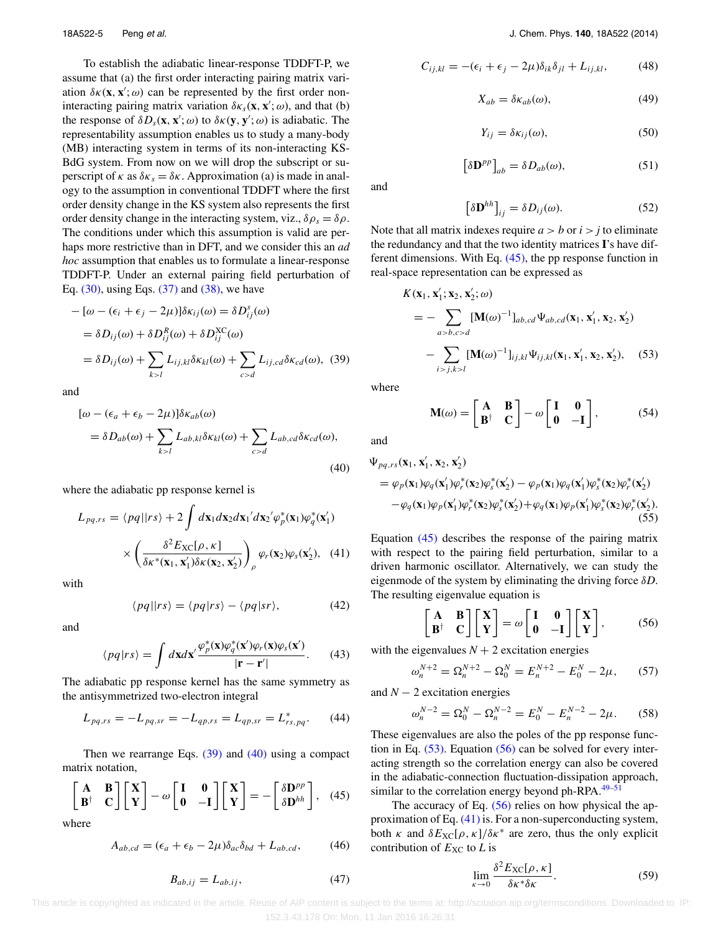To establish the adiabatic linear-response TDDFT-P, we assume that (a) the first order interacting pairing matrix variation  $\delta \kappa(\mathbf{x}, \mathbf{x}'; \omega)$  can be represented by the first order noninteracting pairing matrix variation  $\delta \kappa_s(\mathbf{x}, \mathbf{x}'; \omega)$ , and that (b) the response of  $\delta D_s(\mathbf{x}, \mathbf{x}'; \omega)$  to  $\delta \kappa(\mathbf{y}, \mathbf{y}'; \omega)$  is adiabatic. The representability assumption enables us to study a many-body (MB) interacting system in terms of its non-interacting KS-BdG system. From now on we will drop the subscript or superscript of  $\kappa$  as  $\delta \kappa_s = \delta \kappa$ . Approximation (a) is made in analogy to the assumption in conventional TDDFT where the first order density change in the KS system also represents the first order density change in the interacting system, viz.,  $\delta \rho_s = \delta \rho$ . The conditions under which this assumption is valid are perhaps more restrictive than in DFT, and we consider this an *ad hoc* assumption that enables us to formulate a linear-response TDDFT-P. Under an external pairing field perturbation of Eq.  $(30)$ , using Eqs.  $(37)$  and  $(38)$ , we have

$$
- [\omega - (\epsilon_i + \epsilon_j - 2\mu)] \delta \kappa_{ij}(\omega) = \delta D_{ij}^s(\omega)
$$
  
=  $\delta D_{ij}(\omega) + \delta D_{ij}^R(\omega) + \delta D_{ij}^{XC}(\omega)$   
=  $\delta D_{ij}(\omega) + \sum_{k>l} L_{ij,kl} \delta \kappa_{kl}(\omega) + \sum_{c>d} L_{ij,cd} \delta \kappa_{cd}(\omega),$  (39)

<span id="page-5-1"></span>and

$$
[\omega - (\epsilon_a + \epsilon_b - 2\mu)]\delta \kappa_{ab}(\omega)
$$
  
=  $\delta D_{ab}(\omega) + \sum_{k>l} L_{ab,kl} \delta \kappa_{kl}(\omega) + \sum_{c>d} L_{ab,cd} \delta \kappa_{cd}(\omega),$  (40)

where the adiabatic pp response kernel is

$$
L_{pq,rs} = \langle pq||rs\rangle + 2 \int d\mathbf{x}_1 d\mathbf{x}_2 d\mathbf{x}_1' d\mathbf{x}_2' \varphi_p^*(\mathbf{x}_1) \varphi_q^*(\mathbf{x}_1')
$$

$$
\times \left(\frac{\delta^2 E_{\text{XC}}[\rho, \kappa]}{\delta \kappa^*(\mathbf{x}_1, \mathbf{x}_1') \delta \kappa(\mathbf{x}_2, \mathbf{x}_2')} \right)_{\rho} \varphi_r(\mathbf{x}_2) \varphi_s(\mathbf{x}_2'), \quad (41)
$$

with

$$
\langle pq||rs\rangle = \langle pq|rs\rangle - \langle pq|sr\rangle, \tag{42}
$$

and

$$
\langle pq|rs\rangle = \int d\mathbf{x}d\mathbf{x}' \frac{\varphi_p^*(\mathbf{x})\varphi_q^*(\mathbf{x}')\varphi_r(\mathbf{x})\varphi_s(\mathbf{x}')}{|\mathbf{r} - \mathbf{r}'|}.
$$
 (43)

The adiabatic pp response kernel has the same symmetry as the antisymmetrized two-electron integral

$$
L_{pq,rs} = -L_{pq,sr} = -L_{qp,rs} = L_{qp,sr} = L_{rs,pq}^*.
$$
 (44)

Then we rearrange Eqs.  $(39)$  and  $(40)$  using a compact matrix notation,

<span id="page-5-2"></span>
$$
\begin{bmatrix} \mathbf{A} & \mathbf{B} \\ \mathbf{B}^{\dagger} & \mathbf{C} \end{bmatrix} \begin{bmatrix} \mathbf{X} \\ \mathbf{Y} \end{bmatrix} - \omega \begin{bmatrix} \mathbf{I} & \mathbf{0} \\ \mathbf{0} & -\mathbf{I} \end{bmatrix} \begin{bmatrix} \mathbf{X} \\ \mathbf{Y} \end{bmatrix} = - \begin{bmatrix} \delta \mathbf{D}^{pp} \\ \delta \mathbf{D}^{hh} \end{bmatrix}, \quad (45)
$$

where

<span id="page-5-6"></span>
$$
A_{ab,cd} = (\epsilon_a + \epsilon_b - 2\mu)\delta_{ac}\delta_{bd} + L_{ab,cd}, \tag{46}
$$

<span id="page-5-7"></span>
$$
C_{ij,kl} = -(\epsilon_i + \epsilon_j - 2\mu)\delta_{ik}\delta_{jl} + L_{ij,kl},\tag{48}
$$

$$
X_{ab} = \delta \kappa_{ab}(\omega),\tag{49}
$$

$$
Y_{ij} = \delta \kappa_{ij}(\omega),\tag{50}
$$

$$
\left[\delta \mathbf{D}^{pp}\right]_{ab} = \delta D_{ab}(\omega),\tag{51}
$$

and

<span id="page-5-3"></span>
$$
\left[\delta \mathbf{D}^{hh}\right]_{ij} = \delta D_{ij}(\omega). \tag{52}
$$

Note that all matrix indexes require  $a > b$  or  $i > j$  to eliminate the redundancy and that the two identity matrices **I**'s have different dimensions. With Eq. [\(45\),](#page-5-2) the pp response function in real-space representation can be expressed as

$$
K(\mathbf{x}_1, \mathbf{x}_1'; \mathbf{x}_2, \mathbf{x}_2'; \omega)
$$
  
= 
$$
- \sum_{a > b, c > d} [\mathbf{M}(\omega)^{-1}]_{ab, cd} \Psi_{ab, cd}(\mathbf{x}_1, \mathbf{x}_1', \mathbf{x}_2, \mathbf{x}_2')
$$
  

$$
- \sum_{i > j, k > l} [\mathbf{M}(\omega)^{-1}]_{ij, kl} \Psi_{ij, kl}(\mathbf{x}_1, \mathbf{x}_1', \mathbf{x}_2, \mathbf{x}_2'), \quad (53)
$$

<span id="page-5-0"></span>where

 $\mathbf{M}(\omega) = \begin{bmatrix} \mathbf{A} & \mathbf{B} \\ \mathbf{B}^{\dagger} & \mathbf{C} \end{bmatrix}$ **B**† **C**  $\begin{bmatrix} 1 & 0 \\ 0 & 0 \end{bmatrix}$ **0** −**I** 1 *,* (54)

and

<span id="page-5-5"></span>
$$
\Psi_{pq,rs}(\mathbf{x}_1, \mathbf{x}_1', \mathbf{x}_2, \mathbf{x}_2')
$$
\n
$$
= \varphi_p(\mathbf{x}_1)\varphi_q(\mathbf{x}_1')\varphi_r^*(\mathbf{x}_2)\varphi_s^*(\mathbf{x}_2') - \varphi_p(\mathbf{x}_1)\varphi_q(\mathbf{x}_1')\varphi_s^*(\mathbf{x}_2)\varphi_r^*(\mathbf{x}_2')
$$
\n
$$
-\varphi_q(\mathbf{x}_1)\varphi_p(\mathbf{x}_1')\varphi_r^*(\mathbf{x}_2)\varphi_s^*(\mathbf{x}_2') + \varphi_q(\mathbf{x}_1)\varphi_p(\mathbf{x}_1')\varphi_s^*(\mathbf{x}_2)\varphi_r^*(\mathbf{x}_2').
$$
\n(55)

Equation [\(45\)](#page-5-2) describes the response of the pairing matrix with respect to the pairing field perturbation, similar to a driven harmonic oscillator. Alternatively, we can study the eigenmode of the system by eliminating the driving force *δD*. The resulting eigenvalue equation is

<span id="page-5-4"></span>
$$
\begin{bmatrix} A & B \\ B^{\dagger} & C \end{bmatrix} \begin{bmatrix} X \\ Y \end{bmatrix} = \omega \begin{bmatrix} I & 0 \\ 0 & -I \end{bmatrix} \begin{bmatrix} X \\ Y \end{bmatrix},
$$
(56)

with the eigenvalues  $N + 2$  excitation energies

$$
\omega_n^{N+2} = \Omega_n^{N+2} - \Omega_0^N = E_n^{N+2} - E_0^N - 2\mu,\qquad(57)
$$

and  $N - 2$  excitation energies

$$
\omega_n^{N-2} = \Omega_0^N - \Omega_n^{N-2} = E_0^N - E_n^{N-2} - 2\mu.
$$
 (58)

These eigenvalues are also the poles of the pp response function in Eq.  $(53)$ . Equation  $(56)$  can be solved for every interacting strength so the correlation energy can also be covered in the adiabatic-connection fluctuation-dissipation approach, similar to the correlation energy beyond ph-RPA. $49-51$  $49-51$ 

The accuracy of Eq.  $(56)$  relies on how physical the approximation of Eq. [\(41\)](#page-5-5) is. For a non-superconducting system, both  $\kappa$  and  $\delta E_{\text{XC}}[\rho, \kappa]/\delta \kappa^*$  are zero, thus the only explicit contribution of  $E_{\text{XC}}$  to *L* is

$$
\lim_{\kappa \to 0} \frac{\delta^2 E_{\rm XC}[\rho, \kappa]}{\delta \kappa^* \delta \kappa}.
$$
 (59)

 This article is copyrighted as indicated in the article. Reuse of AIP content is subject to the terms at: http://scitation.aip.org/termsconditions. Downloaded to IP: 152.3.43.178 On: Mon, 11 Jan 2016 16:26:31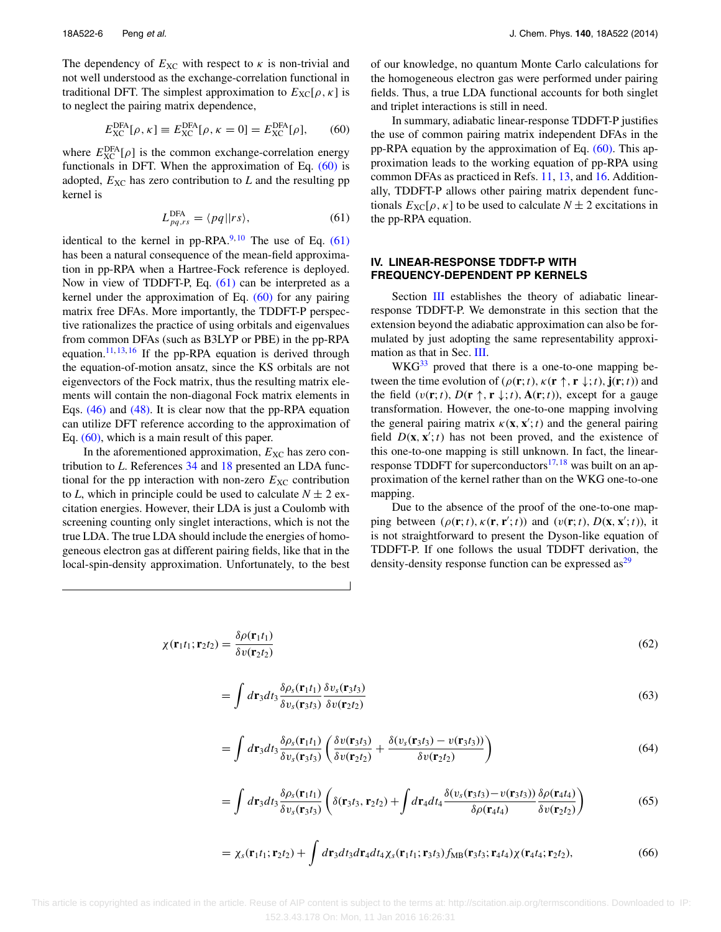The dependency of  $E_{\text{XC}}$  with respect to  $\kappa$  is non-trivial and not well understood as the exchange-correlation functional in traditional DFT. The simplest approximation to  $E_{\text{XC}}[\rho, \kappa]$  is to neglect the pairing matrix dependence,

$$
E_{\text{XC}}^{\text{DFA}}[\rho, \kappa] \equiv E_{\text{XC}}^{\text{DFA}}[\rho, \kappa = 0] = E_{\text{XC}}^{\text{DFA}}[\rho], \qquad (60)
$$

<span id="page-6-2"></span>where  $E_{\text{XC}}^{\text{DFA}}[\rho]$  is the common exchange-correlation energy functionals in DFT. When the approximation of Eq. [\(60\)](#page-6-1) is adopted,  $E_{\text{XC}}$  has zero contribution to  $L$  and the resulting pp kernel is

$$
L_{pq,rs}^{\text{DFA}} = \langle pq || rs \rangle,\tag{61}
$$

identical to the kernel in pp-RPA. $^{9,10}$  $^{9,10}$  $^{9,10}$  The use of Eq. [\(61\)](#page-6-2) has been a natural consequence of the mean-field approximation in pp-RPA when a Hartree-Fock reference is deployed. Now in view of TDDFT-P, Eq. [\(61\)](#page-6-2) can be interpreted as a kernel under the approximation of Eq. [\(60\)](#page-6-1) for any pairing matrix free DFAs. More importantly, the TDDFT-P perspective rationalizes the practice of using orbitals and eigenvalues from common DFAs (such as B3LYP or PBE) in the pp-RPA equation.<sup>[11,](#page-9-4) [13,](#page-9-6) [16](#page-9-9)</sup> If the pp-RPA equation is derived through the equation-of-motion ansatz, since the KS orbitals are not eigenvectors of the Fock matrix, thus the resulting matrix elements will contain the non-diagonal Fock matrix elements in Eqs. [\(46\)](#page-5-6) and [\(48\).](#page-5-7) It is clear now that the pp-RPA equation can utilize DFT reference according to the approximation of Eq. [\(60\),](#page-6-1) which is a main result of this paper.

In the aforementioned approximation,  $E_{XC}$  has zero contribution to *L*. References [34](#page-9-23) and [18](#page-9-11) presented an LDA functional for the pp interaction with non-zero  $E_{\text{XC}}$  contribution to *L*, which in principle could be used to calculate  $N \pm 2$  excitation energies. However, their LDA is just a Coulomb with screening counting only singlet interactions, which is not the true LDA. The true LDA should include the energies of homogeneous electron gas at different pairing fields, like that in the local-spin-density approximation. Unfortunately, to the best of our knowledge, no quantum Monte Carlo calculations for the homogeneous electron gas were performed under pairing fields. Thus, a true LDA functional accounts for both singlet and triplet interactions is still in need.

<span id="page-6-1"></span>In summary, adiabatic linear-response TDDFT-P justifies the use of common pairing matrix independent DFAs in the pp-RPA equation by the approximation of Eq. [\(60\).](#page-6-1) This approximation leads to the working equation of pp-RPA using common DFAs as practiced in Refs. [11,](#page-9-4) [13,](#page-9-6) and [16.](#page-9-9) Additionally, TDDFT-P allows other pairing matrix dependent functionals  $E_{\text{XC}}[\rho, \kappa]$  to be used to calculate  $N \pm 2$  excitations in the pp-RPA equation.

#### <span id="page-6-0"></span>**IV. LINEAR-RESPONSE TDDFT-P WITH FREQUENCY-DEPENDENT PP KERNELS**

Section [III](#page-4-0) establishes the theory of adiabatic linearresponse TDDFT-P. We demonstrate in this section that the extension beyond the adiabatic approximation can also be formulated by just adopting the same representability approximation as that in Sec. [III.](#page-4-0)

 $WKG<sup>33</sup>$  proved that there is a one-to-one mapping between the time evolution of ( $\rho(\mathbf{r}; t)$ ,  $\kappa(\mathbf{r} \uparrow, \mathbf{r} \downarrow; t)$ ,  $\mathbf{j}(\mathbf{r}; t)$ ) and the field  $(v(\mathbf{r}; t), D(\mathbf{r} \uparrow, \mathbf{r} \downarrow; t), \mathbf{A}(\mathbf{r}; t))$ , except for a gauge transformation. However, the one-to-one mapping involving the general pairing matrix  $\kappa(\mathbf{x}, \mathbf{x}'; t)$  and the general pairing field  $D(\mathbf{x}, \mathbf{x}'; t)$  has not been proved, and the existence of this one-to-one mapping is still unknown. In fact, the linearresponse TDDFT for superconductors $17,18$  $17,18$  was built on an approximation of the kernel rather than on the WKG one-to-one mapping.

Due to the absence of the proof of the one-to-one mapping between  $(\rho(\mathbf{r}; t), \kappa(\mathbf{r}, \mathbf{r}'; t))$  and  $(v(\mathbf{r}; t), D(\mathbf{x}, \mathbf{x}'; t))$ , it is not straightforward to present the Dyson-like equation of TDDFT-P. If one follows the usual TDDFT derivation, the density-density response function can be expressed as $^{29}$ 

<span id="page-6-3"></span>
$$
\chi(\mathbf{r}_1t_1; \mathbf{r}_2t_2) = \frac{\delta \rho(\mathbf{r}_1t_1)}{\delta v(\mathbf{r}_2t_2)}
$$
(62)

$$
= \int d\mathbf{r}_3 dt_3 \frac{\delta \rho_s(\mathbf{r}_1 t_1)}{\delta v_s(\mathbf{r}_3 t_3)} \frac{\delta v_s(\mathbf{r}_3 t_3)}{\delta v(\mathbf{r}_2 t_2)}
$$
(63)

$$
= \int d\mathbf{r}_3 dt_3 \frac{\delta \rho_s(\mathbf{r}_1 t_1)}{\delta v_s(\mathbf{r}_3 t_3)} \left( \frac{\delta v(\mathbf{r}_3 t_3)}{\delta v(\mathbf{r}_2 t_2)} + \frac{\delta (v_s(\mathbf{r}_3 t_3) - v(\mathbf{r}_3 t_3))}{\delta v(\mathbf{r}_2 t_2)} \right)
$$
(64)

<span id="page-6-5"></span>
$$
= \int d\mathbf{r}_3 dt_3 \frac{\delta \rho_s(\mathbf{r}_1 t_1)}{\delta v_s(\mathbf{r}_3 t_3)} \left( \delta(\mathbf{r}_3 t_3, \mathbf{r}_2 t_2) + \int d\mathbf{r}_4 dt_4 \frac{\delta(v_s(\mathbf{r}_3 t_3) - v(\mathbf{r}_3 t_3))}{\delta \rho(\mathbf{r}_4 t_4)} \frac{\delta \rho(\mathbf{r}_4 t_4)}{\delta v(\mathbf{r}_2 t_2)} \right)
$$
(65)

<span id="page-6-4"></span>
$$
= \chi_s(\mathbf{r}_1t_1; \mathbf{r}_2t_2) + \int d\mathbf{r}_3 dt_3 d\mathbf{r}_4 dt_4 \chi_s(\mathbf{r}_1t_1; \mathbf{r}_3t_3) f_{MB}(\mathbf{r}_3t_3; \mathbf{r}_4t_4) \chi(\mathbf{r}_4t_4; \mathbf{r}_2t_2), \tag{66}
$$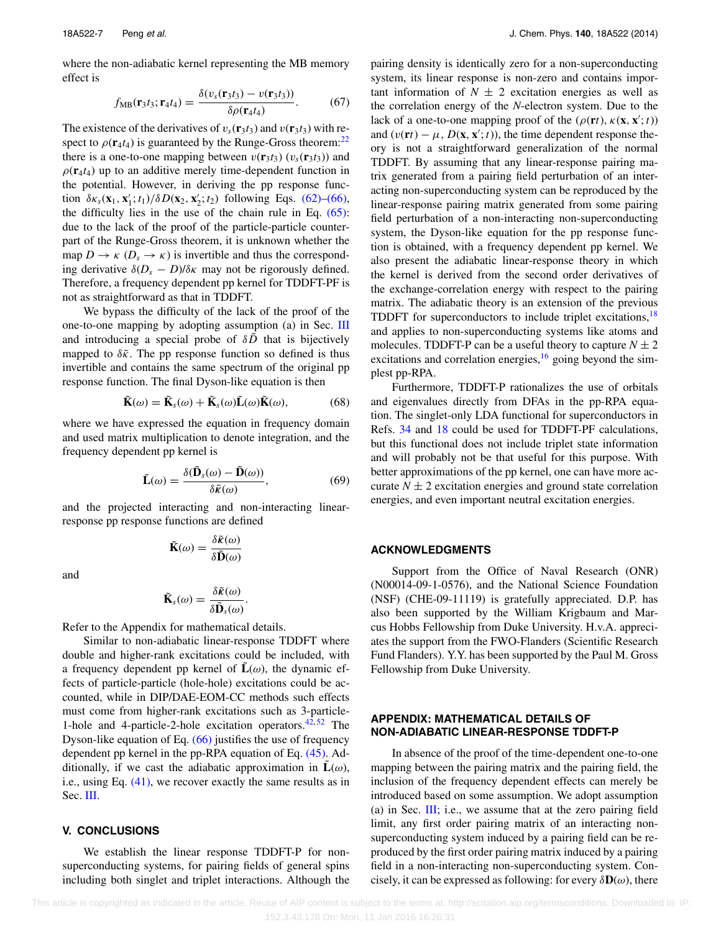where the non-adiabatic kernel representing the MB memory effect is

$$
f_{\text{MB}}(\mathbf{r}_3 t_3; \mathbf{r}_4 t_4) = \frac{\delta(v_s(\mathbf{r}_3 t_3) - v(\mathbf{r}_3 t_3))}{\delta \rho(\mathbf{r}_4 t_4)}.
$$
 (67)

The existence of the derivatives of  $v_s(\mathbf{r}_3 t_3)$  and  $v(\mathbf{r}_3 t_3)$  with respect to  $\rho(\mathbf{r}_4 t_4)$  is guaranteed by the Runge-Gross theorem:<sup>22</sup> there is a one-to-one mapping between  $v(\mathbf{r}_3 t_3)$  ( $v_s(\mathbf{r}_3 t_3)$ ) and  $\rho(\mathbf{r}_4 t_4)$  up to an additive merely time-dependent function in the potential. However, in deriving the pp response function  $\delta \kappa_s(\mathbf{x}_1, \mathbf{x}'_1; t_1)/\delta D(\mathbf{x}_2, \mathbf{x}'_2; t_2)$  following Eqs. [\(62\)–](#page-6-3)[\(66\),](#page-6-4) the difficulty lies in the use of the chain rule in Eq.  $(65)$ : due to the lack of the proof of the particle-particle counterpart of the Runge-Gross theorem, it is unknown whether the map  $D \to \kappa$  ( $D_s \to \kappa$ ) is invertible and thus the corresponding derivative  $\delta(D_s - D)/\delta \kappa$  may not be rigorously defined. Therefore, a frequency dependent pp kernel for TDDFT-PF is not as straightforward as that in TDDFT.

We bypass the difficulty of the lack of the proof of the one-to-one mapping by adopting assumption (a) in Sec. [III](#page-4-0) and introducing a special probe of  $\delta \tilde{D}$  that is bijectively mapped to  $\delta \tilde{\kappa}$ . The pp response function so defined is thus invertible and contains the same spectrum of the original pp response function. The final Dyson-like equation is then

$$
\tilde{\mathbf{K}}(\omega) = \tilde{\mathbf{K}}_s(\omega) + \tilde{\mathbf{K}}_s(\omega) \tilde{\mathbf{L}}(\omega) \tilde{\mathbf{K}}(\omega),
$$
 (68)

where we have expressed the equation in frequency domain and used matrix multiplication to denote integration, and the frequency dependent pp kernel is

$$
\tilde{\mathbf{L}}(\omega) = \frac{\delta(\tilde{\mathbf{D}}_s(\omega) - \tilde{\mathbf{D}}(\omega))}{\delta \tilde{\kappa}(\omega)},
$$
\n(69)

and the projected interacting and non-interacting linearresponse pp response functions are defined

$$
\tilde{\mathbf{K}}(\omega) = \frac{\delta \tilde{\mathbf{k}}(\omega)}{\delta \tilde{\mathbf{D}}(\omega)}
$$

and

$$
\tilde{\mathbf{K}}_s(\omega) = \frac{\delta \tilde{\boldsymbol{\kappa}}(\omega)}{\delta \tilde{\mathbf{D}}_s(\omega)}.
$$

Refer to the Appendix for mathematical details.

Similar to non-adiabatic linear-response TDDFT where double and higher-rank excitations could be included, with a frequency dependent pp kernel of  $\tilde{\bf L}(\omega)$ , the dynamic effects of particle-particle (hole-hole) excitations could be accounted, while in DIP/DAE-EOM-CC methods such effects must come from higher-rank excitations such as 3-particle-1-hole and 4-particle-2-hole excitation operators. $42,52$  $42,52$  The Dyson-like equation of Eq.  $(66)$  justifies the use of frequency dependent pp kernel in the pp-RPA equation of Eq. [\(45\).](#page-5-2) Additionally, if we cast the adiabatic approximation in  $L(\omega)$ , i.e., using Eq. [\(41\),](#page-5-5) we recover exactly the same results as in Sec. [III.](#page-4-0)

#### <span id="page-7-0"></span>**V. CONCLUSIONS**

We establish the linear response TDDFT-P for nonsuperconducting systems, for pairing fields of general spins including both singlet and triplet interactions. Although the pairing density is identically zero for a non-superconducting system, its linear response is non-zero and contains important information of  $N \pm 2$  excitation energies as well as the correlation energy of the *N*-electron system. Due to the lack of a one-to-one mapping proof of the  $(\rho(\mathbf{r}t), \kappa(\mathbf{x}, \mathbf{x}'; t))$ and  $(v(\mathbf{r}t) - \mu, D(\mathbf{x}, \mathbf{x}'; t))$ , the time dependent response theory is not a straightforward generalization of the normal TDDFT. By assuming that any linear-response pairing matrix generated from a pairing field perturbation of an interacting non-superconducting system can be reproduced by the linear-response pairing matrix generated from some pairing field perturbation of a non-interacting non-superconducting system, the Dyson-like equation for the pp response function is obtained, with a frequency dependent pp kernel. We also present the adiabatic linear-response theory in which the kernel is derived from the second order derivatives of the exchange-correlation energy with respect to the pairing matrix. The adiabatic theory is an extension of the previous TDDFT for superconductors to include triplet excitations,<sup>[18](#page-9-11)</sup> and applies to non-superconducting systems like atoms and molecules. TDDFT-P can be a useful theory to capture  $N \pm 2$ excitations and correlation energies,  $\frac{16}{16}$  $\frac{16}{16}$  $\frac{16}{16}$  going beyond the simplest pp-RPA.

Furthermore, TDDFT-P rationalizes the use of orbitals and eigenvalues directly from DFAs in the pp-RPA equation. The singlet-only LDA functional for superconductors in Refs. [34](#page-9-23) and [18](#page-9-11) could be used for TDDFT-PF calculations, but this functional does not include triplet state information and will probably not be that useful for this purpose. With better approximations of the pp kernel, one can have more accurate  $N \pm 2$  excitation energies and ground state correlation energies, and even important neutral excitation energies.

#### **ACKNOWLEDGMENTS**

Support from the Office of Naval Research (ONR) (N00014-09-1-0576), and the National Science Foundation (NSF) (CHE-09-11119) is gratefully appreciated. D.P. has also been supported by the William Krigbaum and Marcus Hobbs Fellowship from Duke University. H.v.A. appreciates the support from the FWO-Flanders (Scientific Research Fund Flanders). Y.Y. has been supported by the Paul M. Gross Fellowship from Duke University.

#### **APPENDIX: MATHEMATICAL DETAILS OF NON-ADIABATIC LINEAR-RESPONSE TDDFT-P**

In absence of the proof of the time-dependent one-to-one mapping between the pairing matrix and the pairing field, the inclusion of the frequency dependent effects can merely be introduced based on some assumption. We adopt assumption (a) in Sec.  $III$ ; i.e., we assume that at the zero pairing field limit, any first order pairing matrix of an interacting nonsuperconducting system induced by a pairing field can be reproduced by the first order pairing matrix induced by a pairing field in a non-interacting non-superconducting system. Concisely, it can be expressed as following: for every  $\delta \mathbf{D}(\omega)$ , there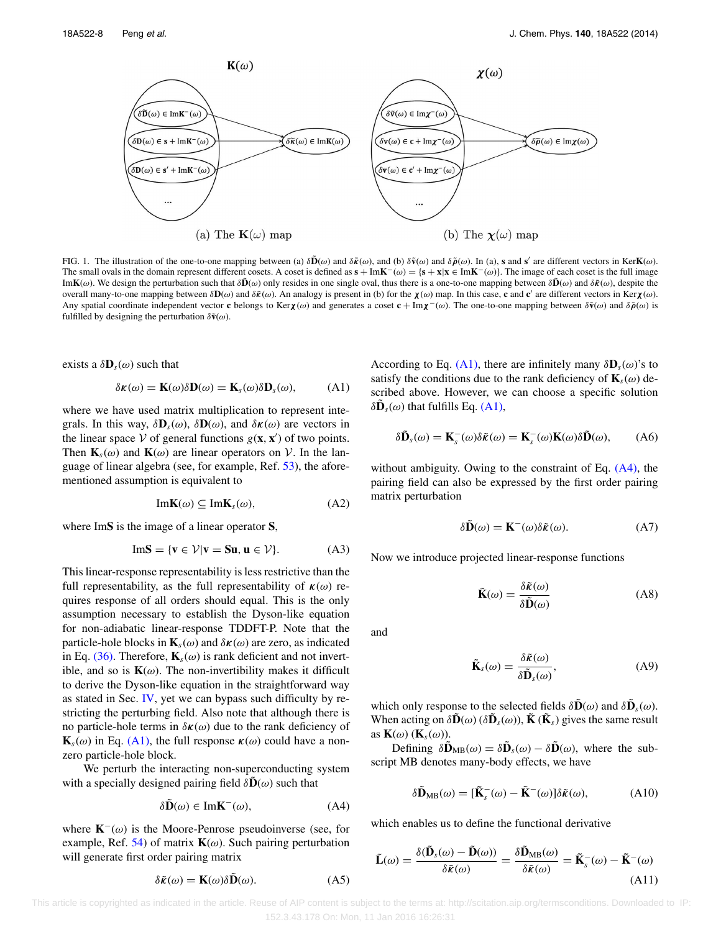<span id="page-8-7"></span>

FIG. 1. The illustration of the one-to-one mapping between (a)  $\delta \tilde{\mathbf{D}}(\omega)$  and  $\delta \tilde{\mathbf{E}}(\omega)$ , and (b)  $\delta \tilde{\mathbf{v}}(\omega)$  and  $\delta \tilde{\mathbf{D}}(\omega)$ . In (a), s and s' are different vectors in KerK( $\omega$ ). The small ovals in the domain represent different cosets. A coset is defined as  $\mathbf{s} + \text{Im} \mathbf{K}^- (\omega) = {\mathbf{s} + \mathbf{x} | \mathbf{x} \in \text{Im} \mathbf{K}^- (\omega)}$ . The image of each coset is the full image Im**K**( $\omega$ ). We design the perturbation such that  $\delta\tilde{\mathbf{D}}(\omega)$  only resides in one single oval, thus there is a one-to-one mapping between  $\delta\tilde{\mathbf{D}}(\omega)$  and  $\delta\tilde{\mathbf{R}}(\omega)$ , despite the overall many-to-one mapping between  $\delta \mathbf{D}(\omega)$  and  $\delta \tilde{\kappa}(\omega)$ . An analogy is present in (b) for the  $\chi(\omega)$  map. In this case, c and c' are different vectors in Ker $\chi(\omega)$ . Any spatial coordinate independent vector **c** belongs to Ker $\chi(\omega)$  and generates a coset  $c + Im\chi^-(\omega)$ . The one-to-one mapping between  $\delta\tilde{v}(\omega)$  and  $\delta\tilde{\rho}(\omega)$  is fulfilled by designing the perturbation  $\delta \tilde{\mathbf{v}}(\omega)$ .

exists a  $\delta \mathbf{D}_s(\omega)$  such that

<span id="page-8-0"></span>
$$
\delta \kappa(\omega) = \mathbf{K}(\omega) \delta \mathbf{D}(\omega) = \mathbf{K}_s(\omega) \delta \mathbf{D}_s(\omega), \quad (A1)
$$

where we have used matrix multiplication to represent integrals. In this way,  $\delta \mathbf{D}_s(\omega)$ ,  $\delta \mathbf{D}(\omega)$ , and  $\delta \kappa(\omega)$  are vectors in the linear space  $V$  of general functions  $g(\mathbf{x}, \mathbf{x}')$  of two points. Then  $\mathbf{K}_s(\omega)$  and  $\mathbf{K}(\omega)$  are linear operators on V. In the lan-guage of linear algebra (see, for example, Ref. [53\)](#page-10-11), the aforementioned assumption is equivalent to

<span id="page-8-2"></span>
$$
Im K(\omega) \subseteq Im K_s(\omega), \tag{A2}
$$

where Im**S** is the image of a linear operator **S**,

$$
Im S = \{v \in \mathcal{V} | v = Su, u \in \mathcal{V}\}.
$$
 (A3)

This linear-response representability is less restrictive than the full representability, as the full representability of *κ*(*ω*) requires response of all orders should equal. This is the only assumption necessary to establish the Dyson-like equation for non-adiabatic linear-response TDDFT-P. Note that the particle-hole blocks in  $\mathbf{K}_s(\omega)$  and  $\delta\mathbf{k}(\omega)$  are zero, as indicated in Eq. [\(36\).](#page-4-5) Therefore,  $\mathbf{K}_s(\omega)$  is rank deficient and not invertible, and so is  $K(\omega)$ . The non-invertibility makes it difficult to derive the Dyson-like equation in the straightforward way as stated in Sec. [IV,](#page-6-0) yet we can bypass such difficulty by restricting the perturbing field. Also note that although there is no particle-hole terms in *δκ*(*ω*) due to the rank deficiency of  $\mathbf{K}_s(\omega)$  in Eq. [\(A1\),](#page-8-0) the full response  $\kappa(\omega)$  could have a nonzero particle-hole block.

We perturb the interacting non-superconducting system with a specially designed pairing field  $\delta\mathbf{D}(\omega)$  such that

$$
\delta \tilde{\mathbf{D}}(\omega) \in \text{Im}\mathbf{K}^{-}(\omega),\tag{A4}
$$

where **K**<sup>−</sup>(*ω*) is the Moore-Penrose pseudoinverse (see, for example, Ref. [54\)](#page-10-12) of matrix  $K(\omega)$ . Such pairing perturbation will generate first order pairing matrix

<span id="page-8-6"></span>
$$
\delta \tilde{\kappa}(\omega) = \mathbf{K}(\omega) \delta \tilde{\mathbf{D}}(\omega). \tag{A5}
$$

According to Eq. [\(A1\),](#page-8-0) there are infinitely many  $\delta \mathbf{D}_s(\omega)$ 's to satisfy the conditions due to the rank deficiency of  $\mathbf{K}_s(\omega)$  described above. However, we can choose a specific solution  $\delta$ **D**<sub>s</sub>(*ω*) that fulfills Eq. [\(A1\),](#page-8-0)

<span id="page-8-3"></span>
$$
\delta \tilde{\mathbf{D}}_s(\omega) = \mathbf{K}_s^-(\omega) \delta \tilde{\kappa}(\omega) = \mathbf{K}_s^-(\omega) \mathbf{K}(\omega) \delta \tilde{\mathbf{D}}(\omega), \quad \text{(A6)}
$$

without ambiguity. Owing to the constraint of Eq.  $(A4)$ , the pairing field can also be expressed by the first order pairing matrix perturbation

<span id="page-8-4"></span>
$$
\delta \tilde{\mathbf{D}}(\omega) = \mathbf{K}^-(\omega) \delta \tilde{\kappa}(\omega). \tag{A7}
$$

Now we introduce projected linear-response functions

$$
\tilde{\mathbf{K}}(\omega) = \frac{\delta \tilde{\mathbf{k}}(\omega)}{\delta \tilde{\mathbf{D}}(\omega)}
$$
(A8)

and

$$
\tilde{\mathbf{K}}_{s}(\omega) = \frac{\delta \tilde{\mathbf{K}}(\omega)}{\delta \tilde{\mathbf{D}}_{s}(\omega)},
$$
\n(A9)

which only response to the selected fields  $\delta \tilde{\mathbf{D}}(\omega)$  and  $\delta \tilde{\mathbf{D}}_s(\omega)$ . When acting on  $\delta \tilde{\mathbf{D}}(\omega)$  ( $\delta \tilde{\mathbf{D}}_s(\omega)$ ),  $\tilde{\mathbf{K}}(\tilde{\mathbf{K}}_s)$  gives the same result as  $\mathbf{K}(\omega)$  ( $\mathbf{K}_s(\omega)$ ).

<span id="page-8-1"></span>Defining  $\delta \tilde{\mathbf{D}}_{MB}(\omega) = \delta \tilde{\mathbf{D}}_{s}(\omega) - \delta \tilde{\mathbf{D}}(\omega)$ , where the subscript MB denotes many-body effects, we have

<span id="page-8-5"></span>
$$
\delta \tilde{\mathbf{D}}_{MB}(\omega) = [\tilde{\mathbf{K}}_{s}^{-}(\omega) - \tilde{\mathbf{K}}^{-}(\omega)] \delta \tilde{\mathbf{\kappa}}(\omega), \tag{A10}
$$

which enables us to define the functional derivative

$$
\tilde{\mathbf{L}}(\omega) = \frac{\delta(\tilde{\mathbf{D}}_s(\omega) - \tilde{\mathbf{D}}(\omega))}{\delta \tilde{\mathbf{k}}(\omega)} = \frac{\delta \tilde{\mathbf{D}}_{MB}(\omega)}{\delta \tilde{\mathbf{k}}(\omega)} = \tilde{\mathbf{K}}_s^-(\omega) - \tilde{\mathbf{K}}^-(\omega)
$$
\n(A11)

 This article is copyrighted as indicated in the article. Reuse of AIP content is subject to the terms at: http://scitation.aip.org/termsconditions. Downloaded to IP: 152.3.43.178 On: Mon, 11 Jan 2016 16:26:31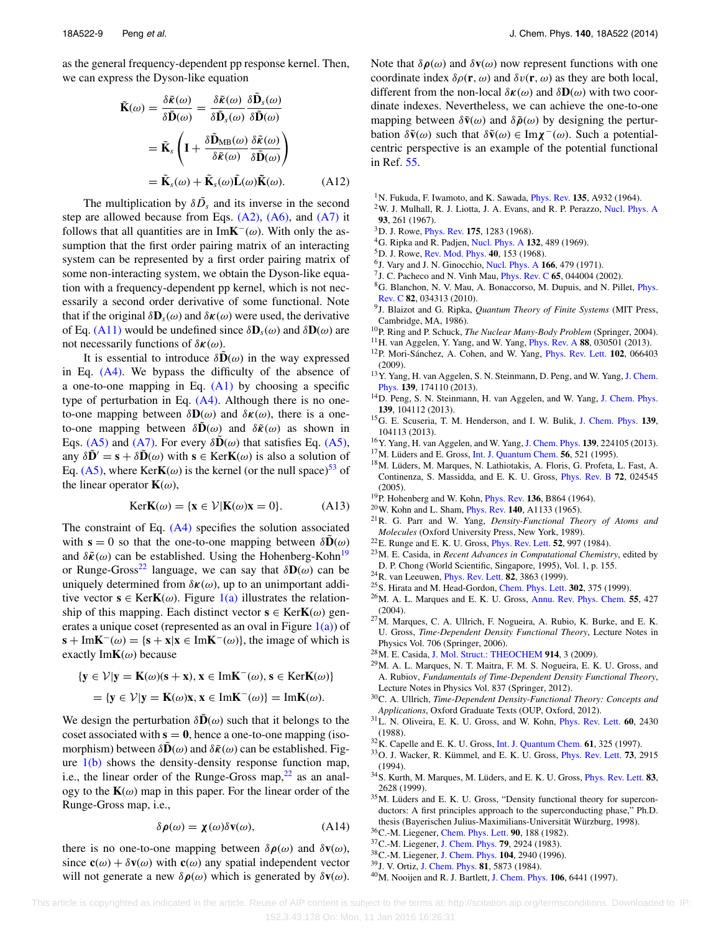as the general frequency-dependent pp response kernel. Then, we can express the Dyson-like equation

$$
\tilde{\mathbf{K}}(\omega) = \frac{\delta \tilde{\mathbf{K}}(\omega)}{\delta \tilde{\mathbf{D}}(\omega)} = \frac{\delta \tilde{\mathbf{K}}(\omega)}{\delta \tilde{\mathbf{D}}_s(\omega)} \frac{\delta \tilde{\mathbf{D}}_s(\omega)}{\delta \tilde{\mathbf{D}}(\omega)}
$$
\n
$$
= \tilde{\mathbf{K}}_s \left( \mathbf{I} + \frac{\delta \tilde{\mathbf{D}}_{MB}(\omega)}{\delta \tilde{\mathbf{K}}(\omega)} \frac{\delta \tilde{\mathbf{K}}(\omega)}{\delta \tilde{\mathbf{D}}(\omega)} \right)
$$
\n
$$
= \tilde{\mathbf{K}}_s(\omega) + \tilde{\mathbf{K}}_s(\omega) \tilde{\mathbf{L}}(\omega) \tilde{\mathbf{K}}(\omega). \tag{A12}
$$

The multiplication by  $\delta \tilde{D}_s$  and its inverse in the second step are allowed because from Eqs.  $(A2)$ ,  $(A6)$ , and  $(A7)$  it follows that all quantities are in Im**K**<sup>−</sup>( $\omega$ ). With only the assumption that the first order pairing matrix of an interacting system can be represented by a first order pairing matrix of some non-interacting system, we obtain the Dyson-like equation with a frequency-dependent pp kernel, which is not necessarily a second order derivative of some functional. Note that if the original  $\delta \mathbf{D}_s(\omega)$  and  $\delta \kappa(\omega)$  were used, the derivative of Eq. [\(A11\)](#page-8-5) would be undefined since *δ***D***s*(*ω*) and *δ***D**(*ω*) are not necessarily functions of *δκ*(*ω*).

It is essential to introduce  $\delta\tilde{\mathbf{D}}(\omega)$  in the way expressed in Eq. [\(A4\).](#page-8-1) We bypass the difficulty of the absence of a one-to-one mapping in Eq.  $(A1)$  by choosing a specific type of perturbation in Eq.  $(A4)$ . Although there is no oneto-one mapping between *δ***D**(*ω*) and *δκ*(*ω*), there is a oneto-one mapping between  $\delta \mathbf{D}(\omega)$  and  $\delta \tilde{\mathbf{k}}(\omega)$  as shown in Eqs. [\(A5\)](#page-8-6) and [\(A7\).](#page-8-4) For every  $\delta\tilde{\mathbf{D}}(\omega)$  that satisfies Eq. [\(A5\),](#page-8-6) any  $\delta \mathbf{D}' = \mathbf{s} + \delta \mathbf{D}(\omega)$  with  $\mathbf{s} \in \text{KerK}(\omega)$  is also a solution of Eq. [\(A5\),](#page-8-6) where Ker**K**( $\omega$ ) is the kernel (or the null space)<sup>[53](#page-10-11)</sup> of the linear operator  $\mathbf{K}(\omega)$ ,

$$
KerK(\omega) = \{x \in \mathcal{V} | K(\omega)x = 0\}.
$$
 (A13)

The constraint of Eq.  $(A4)$  specifies the solution associated with  $\mathbf{s} = 0$  so that the one-to-one mapping between  $\delta \mathbf{D}(\omega)$ and  $\delta \tilde{\kappa}(\omega)$  can be established. Using the Hohenberg-Kohn<sup>19</sup> or Runge-Gross<sup>[22](#page-9-14)</sup> language, we can say that  $\delta \mathbf{D}(\omega)$  can be uniquely determined from  $\delta \kappa(\omega)$ , up to an unimportant additive vector  $\mathbf{s} \in \text{KerK}(\omega)$ . Figure [1\(a\)](#page-8-7) illustrates the relationship of this mapping. Each distinct vector  $\mathbf{s} \in \text{Ker } \mathbf{K}(\omega)$  generates a unique coset (represented as an oval in Figure  $1(a)$ ) of **s** + Im**K**<sup>−</sup>(*ω*) = {**s** + **x**|**x** ∈ Im**K**<sup>−</sup>(*ω*)}, the image of which is exactly Im**K**(*ω*) because

$$
\{y \in \mathcal{V} | y = K(\omega)(s + x), x \in ImK^{-}(\omega), s \in KerK(\omega) \}
$$
  
= 
$$
\{y \in \mathcal{V} | y = K(\omega)x, x \in ImK^{-}(\omega) \} = ImK(\omega).
$$

We design the perturbation  $\delta \hat{\mathbf{D}}(\omega)$  such that it belongs to the coset associated with  $s = 0$ , hence a one-to-one mapping (isomorphism) between  $\delta\mathbf{D}(\omega)$  and  $\delta\tilde{\kappa}(\omega)$  can be established. Figure  $1(b)$  shows the density-density response function map, i.e., the linear order of the Runge-Gross map, $^{22}$  $^{22}$  $^{22}$  as an analogy to the  $K(\omega)$  map in this paper. For the linear order of the Runge-Gross map, i.e.,

$$
\delta \rho(\omega) = \chi(\omega) \delta v(\omega), \tag{A14}
$$

there is no one-to-one mapping between  $\delta \rho(\omega)$  and  $\delta v(\omega)$ , since  $\mathbf{c}(\omega) + \delta \mathbf{v}(\omega)$  with  $\mathbf{c}(\omega)$  any spatial independent vector will not generate a new  $\delta \rho(\omega)$  which is generated by  $\delta \mathbf{v}(\omega)$ . Note that  $\delta \rho(\omega)$  and  $\delta \mathbf{v}(\omega)$  now represent functions with one coordinate index  $\delta \rho(\mathbf{r}, \omega)$  and  $\delta v(\mathbf{r}, \omega)$  as they are both local, different from the non-local *δκ*(*ω*) and *δ***D**(*ω*) with two coordinate indexes. Nevertheless, we can achieve the one-to-one mapping between  $\delta \tilde{\mathbf{v}}(\omega)$  and  $\delta \tilde{\rho}(\omega)$  by designing the perturbation  $\delta \tilde{\mathbf{v}}(\omega)$  such that  $\delta \tilde{\mathbf{v}}(\omega) \in \text{Im}\chi^-(\omega)$ . Such a potentialcentric perspective is an example of the potential functional in Ref. [55.](#page-10-13)

- <span id="page-9-0"></span>1N. Fukuda, F. Iwamoto, and K. Sawada, [Phys. Rev.](http://dx.doi.org/10.1103/PhysRev.135.A932) **135**, A932 (1964).
- 2W. J. Mulhall, R. J. Liotta, J. A. Evans, and R. P. Perazzo, [Nucl. Phys. A](http://dx.doi.org/10.1016/0375-9474(67)90270-9) **93**, 261 (1967).
- 3D. J. Rowe, [Phys. Rev.](http://dx.doi.org/10.1103/PhysRev.175.1283) **175**, 1283 (1968).
- 4G. Ripka and R. Padjen, [Nucl. Phys. A](http://dx.doi.org/10.1016/0375-9474(69)90714-3) **132**, 489 (1969).
- 5D. J. Rowe, [Rev. Mod. Phys.](http://dx.doi.org/10.1103/RevModPhys.40.153) **40**, 153 (1968).
- 6J. Vary and J. N. Ginocchio, [Nucl. Phys. A](http://dx.doi.org/10.1016/0375-9474(71)90902-X) **166**, 479 (1971).
- <span id="page-9-1"></span>7J. C. Pacheco and N. Vinh Mau, [Phys. Rev. C](http://dx.doi.org/10.1103/PhysRevC.65.044004) **65**, 044004 (2002).
- 8G. Blanchon, N. V. Mau, A. Bonaccorso, M. Dupuis, and N. Pillet, [Phys.](http://dx.doi.org/10.1103/PhysRevC.82.034313) [Rev. C](http://dx.doi.org/10.1103/PhysRevC.82.034313) **82**, 034313 (2010).
- <span id="page-9-2"></span>9J. Blaizot and G. Ripka, *Quantum Theory of Finite Systems* (MIT Press, Cambridge, MA, 1986).
- <span id="page-9-4"></span><span id="page-9-3"></span>10P. Ring and P. Schuck, *The Nuclear Many-Body Problem* (Springer, 2004).
- <span id="page-9-5"></span>11H. van Aggelen, Y. Yang, and W. Yang, [Phys. Rev. A](http://dx.doi.org/10.1103/PhysRevA.88.030501) **88**, 030501 (2013).
- 12P. Mori-Sánchez, A. Cohen, and W. Yang, [Phys. Rev. Lett.](http://dx.doi.org/10.1103/PhysRevLett.102.066403) **102**, 066403 (2009).
- <span id="page-9-6"></span>13Y. Yang, H. van Aggelen, S. N. Steinmann, D. Peng, and W. Yang, [J. Chem.](http://dx.doi.org/10.1063/1.4828728) [Phys.](http://dx.doi.org/10.1063/1.4828728) **139**, 174110 (2013).
- <span id="page-9-7"></span>14D. Peng, S. N. Steinmann, H. van Aggelen, and W. Yang, [J. Chem. Phys.](http://dx.doi.org/10.1063/1.4820556) **139**, 104112 (2013).
- <span id="page-9-8"></span>15G. E. Scuseria, T. M. Henderson, and I. W. Bulik, [J. Chem. Phys.](http://dx.doi.org/10.1063/1.4820557) **139**, 104113 (2013).
- <span id="page-9-10"></span><span id="page-9-9"></span>16Y. Yang, H. van Aggelen, and W. Yang, [J. Chem. Phys.](http://dx.doi.org/10.1063/1.4834875) **139**, 224105 (2013).
- <span id="page-9-11"></span>17M. Lüders and E. Gross, [Int. J. Quantum Chem.](http://dx.doi.org/10.1002/qua.560560510) **56**, 521 (1995).
- 18M. Lüders, M. Marques, N. Lathiotakis, A. Floris, G. Profeta, L. Fast, A. Continenza, S. Massidda, and E. K. U. Gross, [Phys. Rev. B](http://dx.doi.org/10.1103/PhysRevB.72.024545) **72**, 024545 (2005).
- <span id="page-9-21"></span><span id="page-9-12"></span>19P. Hohenberg and W. Kohn, [Phys. Rev.](http://dx.doi.org/10.1103/PhysRev.136.B864) **136**, B864 (1964).
- <span id="page-9-13"></span>20W. Kohn and L. Sham, [Phys. Rev.](http://dx.doi.org/10.1103/PhysRev.140.A1133) **140**, A1133 (1965).
- 21R. G. Parr and W. Yang, *Density-Functional Theory of Atoms and Molecules* (Oxford University Press, New York, 1989).
- <span id="page-9-16"></span><span id="page-9-14"></span>22E. Runge and E. K. U. Gross, [Phys. Rev. Lett.](http://dx.doi.org/10.1103/PhysRevLett.52.997) **52**, 997 (1984).
- 23M. E. Casida, in *Recent Advances in Computational Chemistry*, edited by D. P. Chong (World Scientific, Singapore, 1995), Vol. 1, p. 155.
- <span id="page-9-17"></span><span id="page-9-15"></span>24R. van Leeuwen, [Phys. Rev. Lett.](http://dx.doi.org/10.1103/PhysRevLett.82.3863) **82**, 3863 (1999).
- 25S. Hirata and M. Head-Gordon, [Chem. Phys. Lett.](http://dx.doi.org/10.1016/S0009-2614(99)00137-2) **302**, 375 (1999).
- 26M. A. L. Marques and E. K. U. Gross, [Annu. Rev. Phys. Chem.](http://dx.doi.org/10.1146/annurev.physchem.55.091602.094449) **55**, 427 (2004).
- $27$ M. Marques, C. A. Ullrich, F. Nogueira, A. Rubio, K. Burke, and E. K. U. Gross, *Time-Dependent Density Functional Theory*, Lecture Notes in Physics Vol. 706 (Springer, 2006).
- <span id="page-9-28"></span>28M. E. Casida, [J. Mol. Struct.: THEOCHEM](http://dx.doi.org/10.1016/j.theochem.2009.08.018) **914**, 3 (2009).
- 29M. A. L. Marques, N. T. Maitra, F. M. S. Nogueira, E. K. U. Gross, and A. Rubiov, *Fundamentals of Time-Dependent Density Functional Theory*, Lecture Notes in Physics Vol. 837 (Springer, 2012).
- <span id="page-9-18"></span>30C. A. Ullrich, *Time-Dependent Density-Functional Theory: Concepts and Applications*, Oxford Graduate Texts (OUP, Oxford, 2012).
- <span id="page-9-19"></span>31L. N. Oliveira, E. K. U. Gross, and W. Kohn, [Phys. Rev. Lett.](http://dx.doi.org/10.1103/PhysRevLett.60.2430) **60**, 2430 (1988).
- <span id="page-9-22"></span><span id="page-9-20"></span>32K. Capelle and E. K. U. Gross, [Int. J. Quantum Chem.](http://dx.doi.org/10.1002/(SICI)1097-461X(1997)61:2<325::AID-QUA15>3.0.CO;2-A) **61**, 325 (1997).
- 33O. J. Wacker, R. Kümmel, and E. K. U. Gross, [Phys. Rev. Lett.](http://dx.doi.org/10.1103/PhysRevLett.73.2915) **73**, 2915 (1994).
- <span id="page-9-23"></span>34S. Kurth, M. Marques, M. Lüders, and E. K. U. Gross, [Phys. Rev. Lett.](http://dx.doi.org/10.1103/PhysRevLett.83.2628) **83**, 2628 (1999).
- <span id="page-9-24"></span>35M. Lüders and E. K. U. Gross, "Density functional theory for superconductors: A first principles approach to the superconducting phase," Ph.D. thesis (Bayerischen Julius-Maximilians-Universität Würzburg, 1998).
- <span id="page-9-25"></span>36C.-M. Liegener, [Chem. Phys. Lett.](http://dx.doi.org/10.1016/0009-2614(82)80022-5) **90**, 188 (1982).
- 37C.-M. Liegener, [J. Chem. Phys.](http://dx.doi.org/10.1063/1.446115) **79**, 2924 (1983).
- 38C.-M. Liegener, [J. Chem. Phys.](http://dx.doi.org/10.1063/1.471114) **104**, 2940 (1996).
- <span id="page-9-27"></span><span id="page-9-26"></span>39J. V. Ortiz, [J. Chem. Phys.](http://dx.doi.org/10.1063/1.447588) **81**, 5873 (1984).
- 40M. Nooijen and R. J. Bartlett, [J. Chem. Phys.](http://dx.doi.org/10.1063/1.474000) **106**, 6441 (1997).